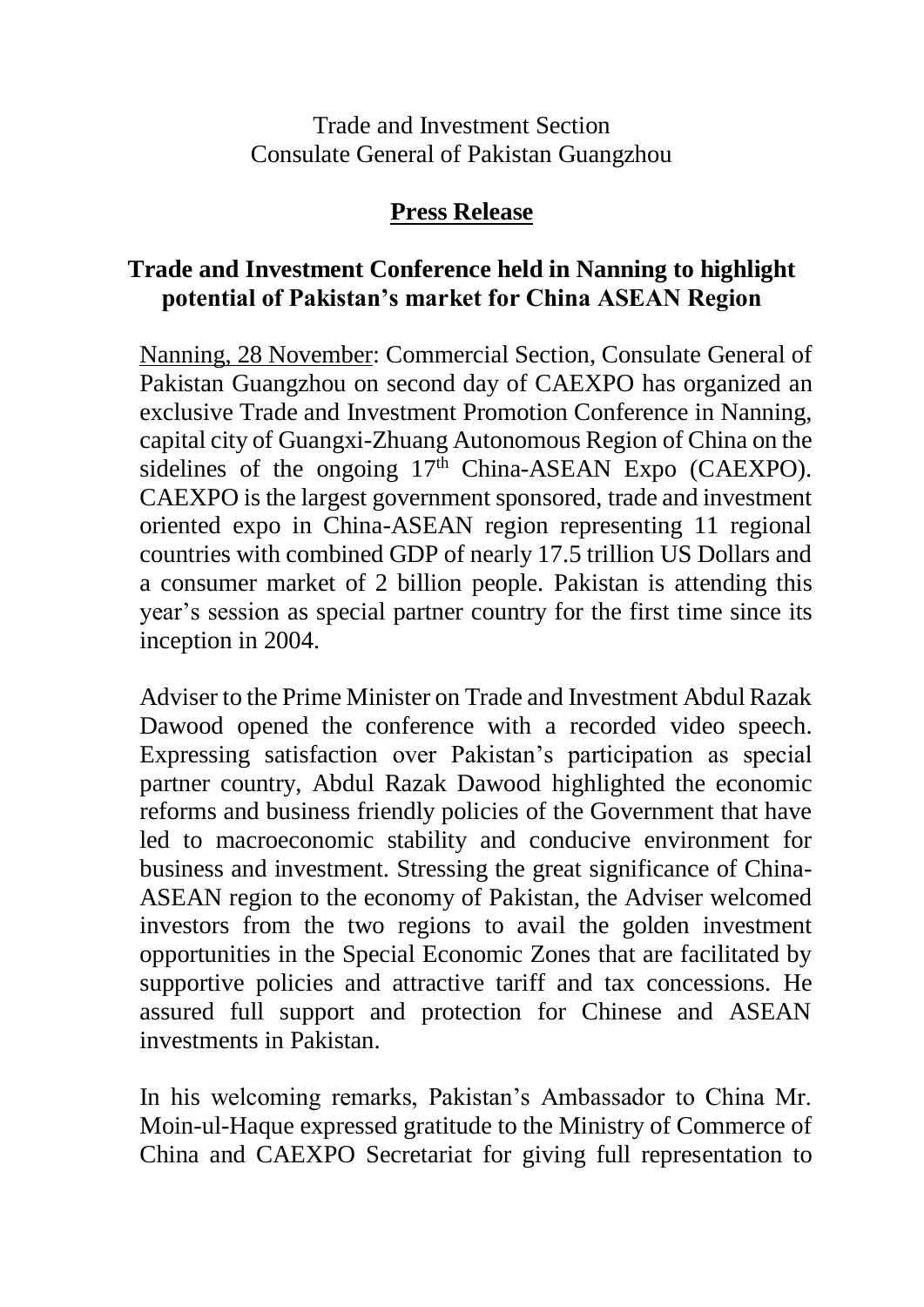Trade and Investment Section Consulate General of Pakistan Guangzhou

## **Press Release**

## **Trade and Investment Conference held in Nanning to highlight potential of Pakistan's market for China ASEAN Region**

Nanning, 28 November: Commercial Section, Consulate General of Pakistan Guangzhou on second day of CAEXPO has organized an exclusive Trade and Investment Promotion Conference in Nanning, capital city of Guangxi-Zhuang Autonomous Region of China on the sidelines of the ongoing  $17<sup>th</sup>$  China-ASEAN Expo (CAEXPO). CAEXPO is the largest government sponsored, trade and investment oriented expo in China-ASEAN region representing 11 regional countries with combined GDP of nearly 17.5 trillion US Dollars and a consumer market of 2 billion people. Pakistan is attending this year's session as special partner country for the first time since its inception in 2004.

Adviser to the Prime Minister on Trade and Investment Abdul Razak Dawood opened the conference with a recorded video speech. Expressing satisfaction over Pakistan's participation as special partner country, Abdul Razak Dawood highlighted the economic reforms and business friendly policies of the Government that have led to macroeconomic stability and conducive environment for business and investment. Stressing the great significance of China-ASEAN region to the economy of Pakistan, the Adviser welcomed investors from the two regions to avail the golden investment opportunities in the Special Economic Zones that are facilitated by supportive policies and attractive tariff and tax concessions. He assured full support and protection for Chinese and ASEAN investments in Pakistan.

In his welcoming remarks, Pakistan's Ambassador to China Mr. Moin-ul-Haque expressed gratitude to the Ministry of Commerce of China and CAEXPO Secretariat for giving full representation to